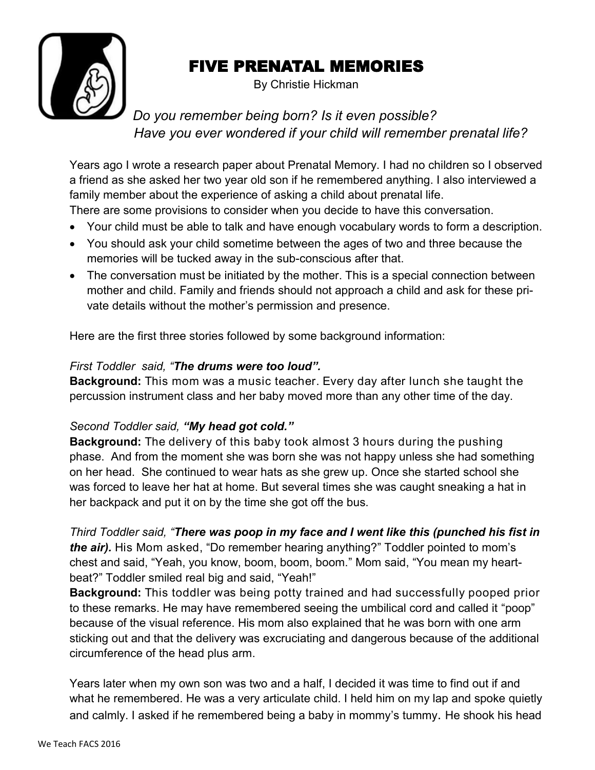

## FIVE PRENATAL MEMORIES

By Christie Hickman

 *Do you remember being born? Is it even possible? Have you ever wondered if your child will remember prenatal life?*

Years ago I wrote a research paper about Prenatal Memory. I had no children so I observed a friend as she asked her two year old son if he remembered anything. I also interviewed a family member about the experience of asking a child about prenatal life. There are some provisions to consider when you decide to have this conversation.

- Your child must be able to talk and have enough vocabulary words to form a description.
- You should ask your child sometime between the ages of two and three because the memories will be tucked away in the sub-conscious after that.
- The conversation must be initiated by the mother. This is a special connection between mother and child. Family and friends should not approach a child and ask for these private details without the mother's permission and presence.

Here are the first three stories followed by some background information:

## *First Toddler said, "The drums were too loud".*

**Background:** This mom was a music teacher. Every day after lunch she taught the percussion instrument class and her baby moved more than any other time of the day.

## *Second Toddler said, "My head got cold."*

**Background:** The delivery of this baby took almost 3 hours during the pushing phase. And from the moment she was born she was not happy unless she had something on her head. She continued to wear hats as she grew up. Once she started school she was forced to leave her hat at home. But several times she was caught sneaking a hat in her backpack and put it on by the time she got off the bus.

*Third Toddler said, "There was poop in my face and I went like this (punched his fist in the air).* His Mom asked, "Do remember hearing anything?" Toddler pointed to mom's chest and said, "Yeah, you know, boom, boom, boom." Mom said, "You mean my heartbeat?" Toddler smiled real big and said, "Yeah!"

**Background:** This toddler was being potty trained and had successfully pooped prior to these remarks. He may have remembered seeing the umbilical cord and called it "poop" because of the visual reference. His mom also explained that he was born with one arm sticking out and that the delivery was excruciating and dangerous because of the additional circumference of the head plus arm.

Years later when my own son was two and a half, I decided it was time to find out if and what he remembered. He was a very articulate child. I held him on my lap and spoke quietly and calmly. I asked if he remembered being a baby in mommy's tummy. He shook his head